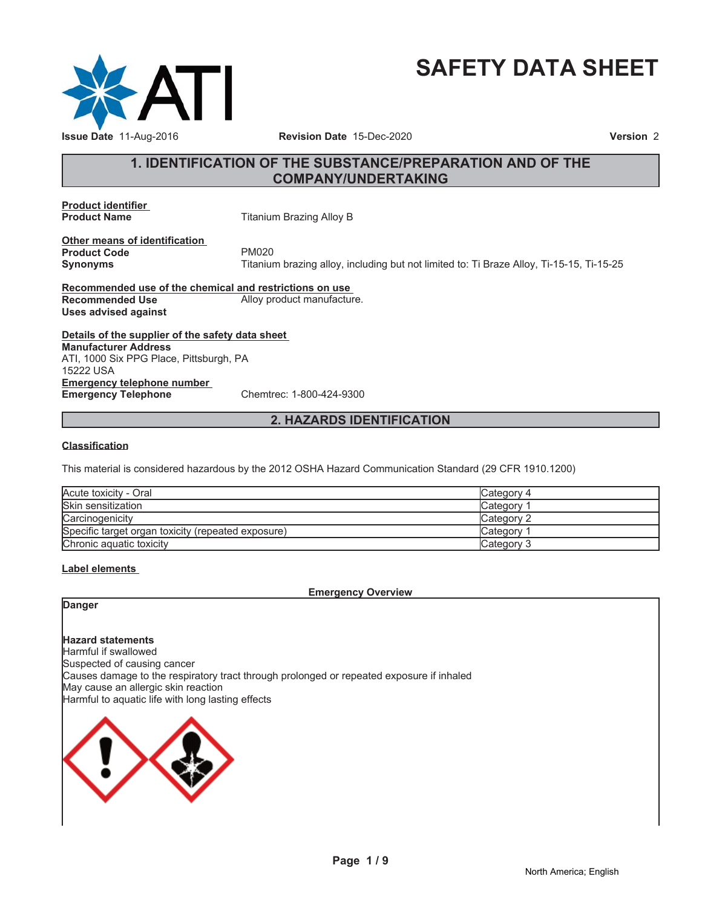

# **SAFETY DATA SHEET**

# **1. IDENTIFICATION OF THE SUBSTANCE/PREPARATION AND OF THE COMPANY/UNDERTAKING**

**Product identifier**

**Titanium Brazing Alloy B** 

**Other means of identification Product Code** PM020<br> **Synonyms** Titanium

**Synonyms** Titanium brazing alloy, including but not limited to: Ti Braze Alloy, Ti-15-15, Ti-15-25

**Recommended use of the chemical and restrictions on use Recommended Use** Alloy product manufacture. **Uses advised against**

**Details of the supplier of the safety data sheet Emergency telephone number Emergency Telephone** Chemtrec: 1-800-424-9300 **Manufacturer Address** ATI, 1000 Six PPG Place, Pittsburgh, PA 15222 USA

### **2. HAZARDS IDENTIFICATION**

### **Classification**

This material is considered hazardous by the 2012 OSHA Hazard Communication Standard (29 CFR 1910.1200)

| Acute toxicity - Oral                              | Category 4 |
|----------------------------------------------------|------------|
| Skin sensitization                                 | Category 1 |
| Carcinogenicity                                    | Category 2 |
| Specific target organ toxicity (repeated exposure) | Category 1 |
| Chronic aquatic toxicity                           | Category 3 |

### **Label elements**

### **Emergency Overview**

**Danger**

**Hazard statements** Harmful if swallowed Suspected of causing cancer Causes damage to the respiratory tract through prolonged or repeated exposure if inhaled May cause an allergic skin reaction Harmful to aquatic life with long lasting effects

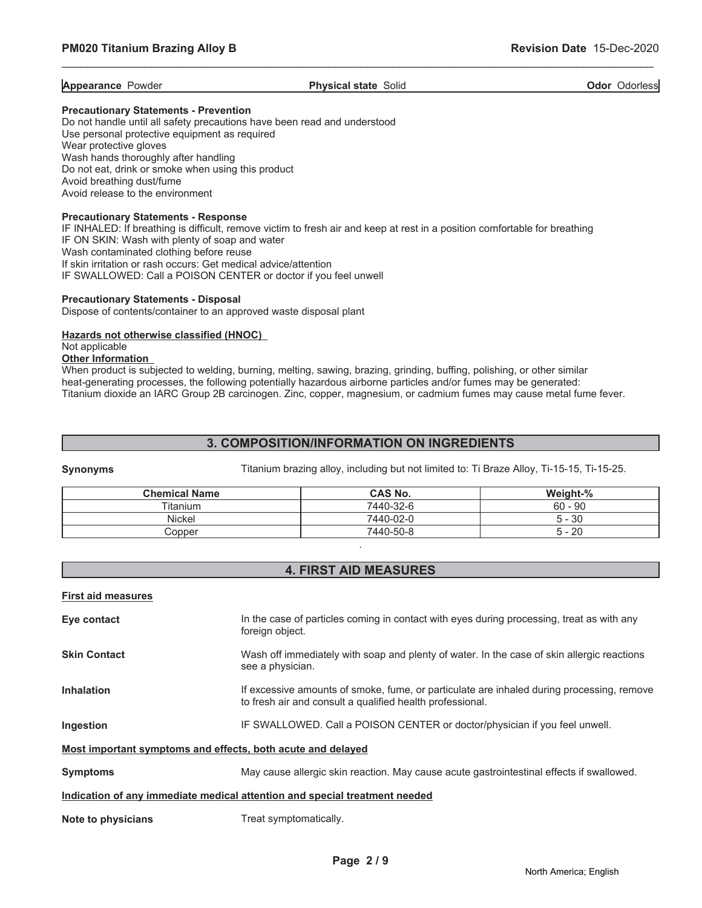**Appearance** Powder **Physical state** Solid **Physical state** Solid **Odor** Odorless

\_\_\_\_\_\_\_\_\_\_\_\_\_\_\_\_\_\_\_\_\_\_\_\_\_\_\_\_\_\_\_\_\_\_\_\_\_\_\_\_\_\_\_\_\_\_\_\_\_\_\_\_\_\_\_\_\_\_\_\_\_\_\_\_\_\_\_\_\_\_\_\_\_\_\_\_\_\_\_\_\_\_\_\_\_\_\_\_\_\_\_\_\_

### **Precautionary Statements - Prevention**

Do not handle until all safety precautions have been read and understood Use personal protective equipment as required Wear protective gloves Wash hands thoroughly after handling Do not eat, drink or smoke when using this product Avoid breathing dust/fume Avoid release to the environment

### **Precautionary Statements - Response**

IF INHALED: If breathing is difficult, remove victim to fresh air and keep at rest in a position comfortable for breathing IF ON SKIN: Wash with plenty of soap and water Wash contaminated clothing before reuse If skin irritation or rash occurs: Get medical advice/attention IF SWALLOWED: Call a POISON CENTER or doctor if you feel unwell

### **Precautionary Statements - Disposal**

Dispose of contents/container to an approved waste disposal plant

### **Hazards not otherwise classified (HNOC)**

### Not applicable

### **Other Information**

When product is subjected to welding, burning, melting, sawing, brazing, grinding, buffing, polishing, or other similar heat-generating processes, the following potentially hazardous airborne particles and/or fumes may be generated: Titanium dioxide an IARC Group 2B carcinogen. Zinc, copper, magnesium, or cadmium fumes may cause metal fume fever.

# **3. COMPOSITION/INFORMATION ON INGREDIENTS**

**Synonyms** Titanium brazing alloy, including but not limited to: Ti Braze Alloy, Ti-15-15, Ti-15-25.

| <b>Chemical Name</b> | <b>CAS No.</b> | Weight-%  |
|----------------------|----------------|-----------|
| Titanium             | 7440-32-6      | $60 - 90$ |
| Nickel               | 7440-02-0      | $5 - 30$  |
| Copper               | 7440-50-8      | $5 - 20$  |

# **4. FIRST AID MEASURES**

.

### **First aid measures**

| Eye contact                                                 | In the case of particles coming in contact with eyes during processing, treat as with any<br>foreign object.                                           |
|-------------------------------------------------------------|--------------------------------------------------------------------------------------------------------------------------------------------------------|
| <b>Skin Contact</b>                                         | Wash off immediately with soap and plenty of water. In the case of skin allergic reactions<br>see a physician.                                         |
| <b>Inhalation</b>                                           | If excessive amounts of smoke, fume, or particulate are inhaled during processing, remove<br>to fresh air and consult a qualified health professional. |
| Ingestion                                                   | IF SWALLOWED. Call a POISON CENTER or doctor/physician if you feel unwell.                                                                             |
| Most important symptoms and effects, both acute and delayed |                                                                                                                                                        |
| <b>Symptoms</b>                                             | May cause allergic skin reaction. May cause acute gastrointestinal effects if swallowed.                                                               |
|                                                             | Indication of any immediate medical attention and special treatment needed                                                                             |
| Note to physicians                                          | Treat symptomatically.                                                                                                                                 |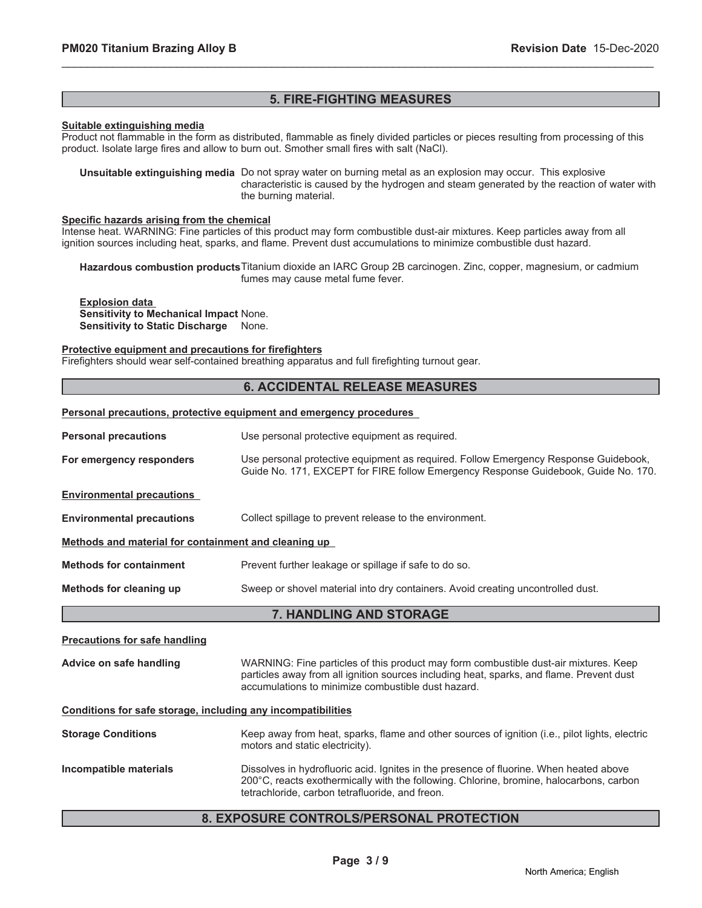# **5. FIRE-FIGHTING MEASURES**

\_\_\_\_\_\_\_\_\_\_\_\_\_\_\_\_\_\_\_\_\_\_\_\_\_\_\_\_\_\_\_\_\_\_\_\_\_\_\_\_\_\_\_\_\_\_\_\_\_\_\_\_\_\_\_\_\_\_\_\_\_\_\_\_\_\_\_\_\_\_\_\_\_\_\_\_\_\_\_\_\_\_\_\_\_\_\_\_\_\_\_\_\_

### **Suitable extinguishing media**

Product not flammable in the form as distributed, flammable as finely divided particles or pieces resulting from processing of this product. Isolate large fires and allow to burn out. Smother small fires with salt (NaCl).

**Unsuitable extinguishing media** Do not spray water on burning metal as an explosion may occur. This explosive characteristic is caused by the hydrogen and steam generated by the reaction of water with the burning material.

### **Specific hazards arising from the chemical**

Intense heat. WARNING: Fine particles of this product may form combustible dust-air mixtures. Keep particles away from all ignition sources including heat, sparks, and flame. Prevent dust accumulations to minimize combustible dust hazard.

**Hazardous combustion products**Titanium dioxide an IARC Group 2B carcinogen. Zinc, copper, magnesium, or cadmium fumes may cause metal fume fever.

### **Explosion data Sensitivity to Mechanical Impact** None. **Sensitivity to Static Discharge** None.

### **Protective equipment and precautions for firefighters**

Firefighters should wear self-contained breathing apparatus and full firefighting turnout gear.

### **6. ACCIDENTAL RELEASE MEASURES**

### **Personal precautions, protective equipment and emergency procedures**

| <b>Personal precautions</b>                                  | Use personal protective equipment as required.                                                                                                                                                                                         |  |
|--------------------------------------------------------------|----------------------------------------------------------------------------------------------------------------------------------------------------------------------------------------------------------------------------------------|--|
| For emergency responders                                     | Use personal protective equipment as required. Follow Emergency Response Guidebook,<br>Guide No. 171, EXCEPT for FIRE follow Emergency Response Guidebook, Guide No. 170.                                                              |  |
| <b>Environmental precautions</b>                             |                                                                                                                                                                                                                                        |  |
| <b>Environmental precautions</b>                             | Collect spillage to prevent release to the environment.                                                                                                                                                                                |  |
| Methods and material for containment and cleaning up         |                                                                                                                                                                                                                                        |  |
| <b>Methods for containment</b>                               | Prevent further leakage or spillage if safe to do so.                                                                                                                                                                                  |  |
| Methods for cleaning up                                      | Sweep or shovel material into dry containers. Avoid creating uncontrolled dust.                                                                                                                                                        |  |
|                                                              | 7. HANDLING AND STORAGE                                                                                                                                                                                                                |  |
| <b>Precautions for safe handling</b>                         |                                                                                                                                                                                                                                        |  |
| Advice on safe handling                                      | WARNING: Fine particles of this product may form combustible dust-air mixtures. Keep<br>particles away from all ignition sources including heat, sparks, and flame. Prevent dust<br>accumulations to minimize combustible dust hazard. |  |
| Conditions for safe storage, including any incompatibilities |                                                                                                                                                                                                                                        |  |
| <b>Storage Conditions</b>                                    | Keep away from heat, sparks, flame and other sources of ignition (i.e., pilot lights, electric<br>motors and static electricity).                                                                                                      |  |
| Incompatible materials                                       | Dissolves in hydrofluoric acid. Ignites in the presence of fluorine. When heated above<br>200°C, reacts exothermically with the following. Chlorine, bromine, halocarbons, carbon<br>tetrachloride, carbon tetrafluoride, and freon.   |  |

# **8. EXPOSURE CONTROLS/PERSONAL PROTECTION**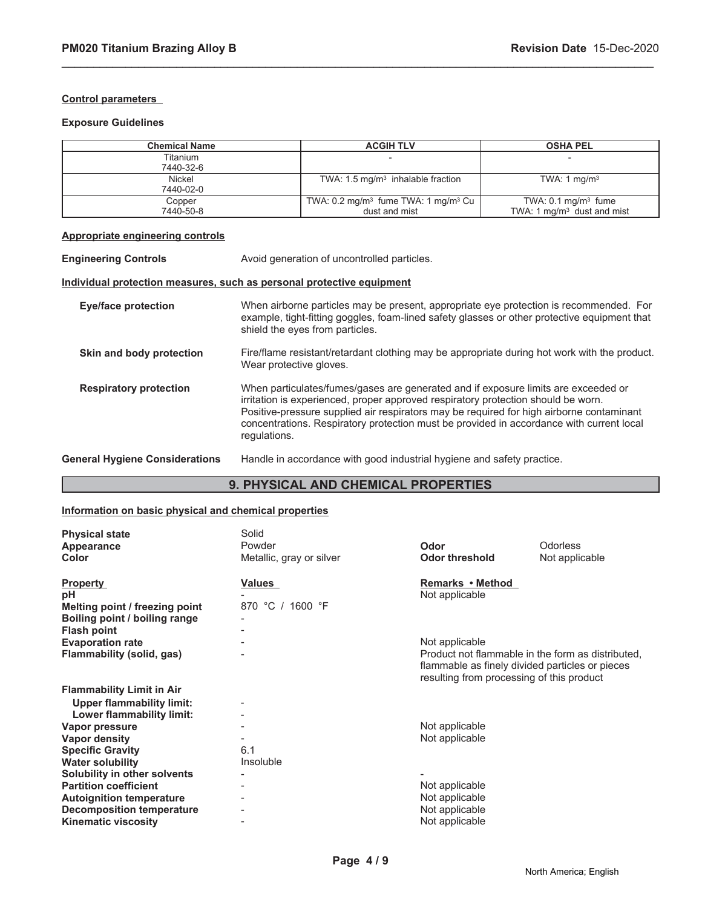### **Control parameters**

### **Exposure Guidelines**

| <b>Chemical Name</b>                                                  |                                                                                                                                                                                                                                                                                                                                                                                 | <b>ACGIH TLV</b>                                                       | <b>OSHA PEL</b>                        |  |
|-----------------------------------------------------------------------|---------------------------------------------------------------------------------------------------------------------------------------------------------------------------------------------------------------------------------------------------------------------------------------------------------------------------------------------------------------------------------|------------------------------------------------------------------------|----------------------------------------|--|
| Titanium                                                              |                                                                                                                                                                                                                                                                                                                                                                                 |                                                                        |                                        |  |
| 7440-32-6                                                             |                                                                                                                                                                                                                                                                                                                                                                                 |                                                                        |                                        |  |
| <b>Nickel</b>                                                         |                                                                                                                                                                                                                                                                                                                                                                                 | TWA: 1.5 mg/m <sup>3</sup> inhalable fraction                          | TWA: 1 $mg/m3$                         |  |
| 7440-02-0                                                             |                                                                                                                                                                                                                                                                                                                                                                                 |                                                                        |                                        |  |
| Copper                                                                |                                                                                                                                                                                                                                                                                                                                                                                 | TWA: 0.2 mg/m <sup>3</sup> fume TWA: 1 mg/m <sup>3</sup> Cu            | TWA: $0.1 \text{ mg/m}^3$ fume         |  |
| 7440-50-8                                                             |                                                                                                                                                                                                                                                                                                                                                                                 | dust and mist                                                          | TWA: 1 mg/m <sup>3</sup> dust and mist |  |
| <b>Appropriate engineering controls</b>                               |                                                                                                                                                                                                                                                                                                                                                                                 |                                                                        |                                        |  |
| <b>Engineering Controls</b>                                           |                                                                                                                                                                                                                                                                                                                                                                                 | Avoid generation of uncontrolled particles.                            |                                        |  |
| Individual protection measures, such as personal protective equipment |                                                                                                                                                                                                                                                                                                                                                                                 |                                                                        |                                        |  |
| <b>Eye/face protection</b>                                            | When airborne particles may be present, appropriate eye protection is recommended. For<br>example, tight-fitting goggles, foam-lined safety glasses or other protective equipment that<br>shield the eyes from particles.                                                                                                                                                       |                                                                        |                                        |  |
| Skin and body protection                                              | Fire/flame resistant/retardant clothing may be appropriate during hot work with the product.<br>Wear protective gloves.                                                                                                                                                                                                                                                         |                                                                        |                                        |  |
| <b>Respiratory protection</b>                                         | When particulates/fumes/gases are generated and if exposure limits are exceeded or<br>irritation is experienced, proper approved respiratory protection should be worn.<br>Positive-pressure supplied air respirators may be required for high airborne contaminant<br>concentrations. Respiratory protection must be provided in accordance with current local<br>regulations. |                                                                        |                                        |  |
| <b>General Hygiene Considerations</b>                                 |                                                                                                                                                                                                                                                                                                                                                                                 | Handle in accordance with good industrial hygiene and safety practice. |                                        |  |

\_\_\_\_\_\_\_\_\_\_\_\_\_\_\_\_\_\_\_\_\_\_\_\_\_\_\_\_\_\_\_\_\_\_\_\_\_\_\_\_\_\_\_\_\_\_\_\_\_\_\_\_\_\_\_\_\_\_\_\_\_\_\_\_\_\_\_\_\_\_\_\_\_\_\_\_\_\_\_\_\_\_\_\_\_\_\_\_\_\_\_\_\_

# **9. PHYSICAL AND CHEMICAL PROPERTIES**

# **Information on basic physical and chemical properties**

| <b>Physical state</b><br>Appearance<br><b>Color</b>                                                                                                               | Solid<br>Powder<br>Metallic, gray or silver | Odor<br><b>Odor threshold</b>                                                                                                                                       | Odorless<br>Not applicable |
|-------------------------------------------------------------------------------------------------------------------------------------------------------------------|---------------------------------------------|---------------------------------------------------------------------------------------------------------------------------------------------------------------------|----------------------------|
| <b>Property</b><br>рH<br>Melting point / freezing point<br>Boiling point / boiling range<br><b>Flash point</b>                                                    | Values<br>870 °C / 1600 °F                  | Remarks • Method<br>Not applicable                                                                                                                                  |                            |
| <b>Evaporation rate</b><br>Flammability (solid, gas)                                                                                                              |                                             | Not applicable<br>Product not flammable in the form as distributed.<br>flammable as finely divided particles or pieces<br>resulting from processing of this product |                            |
| <b>Flammability Limit in Air</b><br><b>Upper flammability limit:</b><br>Lower flammability limit:                                                                 |                                             |                                                                                                                                                                     |                            |
| Vapor pressure<br>Vapor density<br><b>Specific Gravity</b><br><b>Water solubility</b>                                                                             | 6.1<br>Insoluble                            | Not applicable<br>Not applicable                                                                                                                                    |                            |
| Solubility in other solvents<br><b>Partition coefficient</b><br><b>Autoignition temperature</b><br><b>Decomposition temperature</b><br><b>Kinematic viscosity</b> |                                             | Not applicable<br>Not applicable<br>Not applicable<br>Not applicable                                                                                                |                            |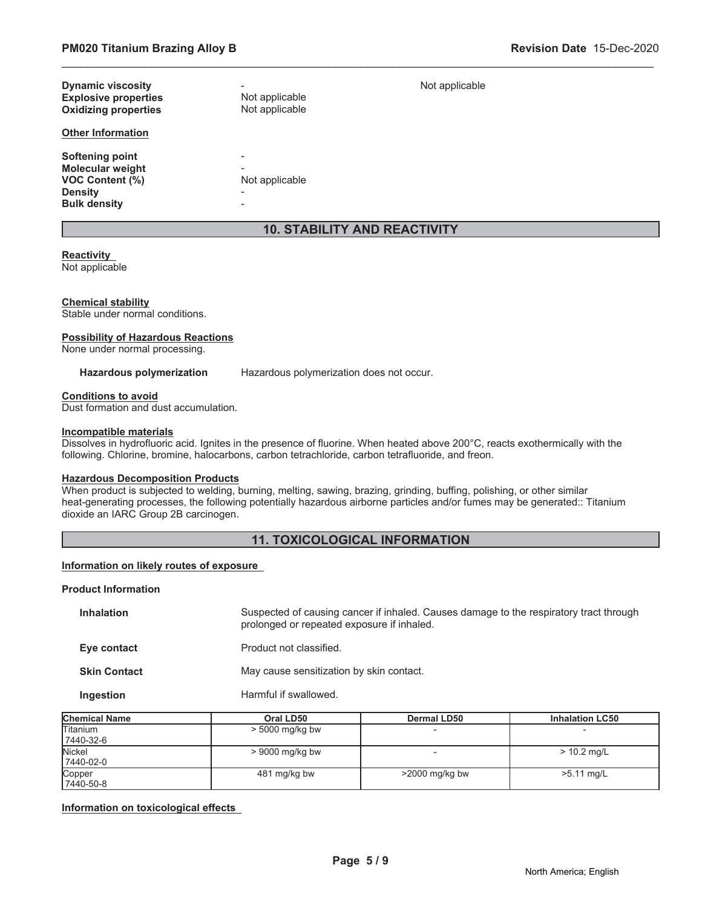|                             | <b>10. STABILITY AND REACTIVITY</b> |                |  |
|-----------------------------|-------------------------------------|----------------|--|
|                             |                                     |                |  |
| <b>Bulk density</b>         | -                                   |                |  |
| <b>Density</b>              | -                                   |                |  |
| <b>VOC Content (%)</b>      | Not applicable                      |                |  |
| <b>Molecular weight</b>     | -                                   |                |  |
| Softening point             | -                                   |                |  |
| <b>Other Information</b>    |                                     |                |  |
| <b>Oxidizing properties</b> | Not applicable                      |                |  |
| <b>Explosive properties</b> | Not applicable                      |                |  |
| <b>Dynamic viscosity</b>    |                                     |                |  |
|                             |                                     | Not applicable |  |

\_\_\_\_\_\_\_\_\_\_\_\_\_\_\_\_\_\_\_\_\_\_\_\_\_\_\_\_\_\_\_\_\_\_\_\_\_\_\_\_\_\_\_\_\_\_\_\_\_\_\_\_\_\_\_\_\_\_\_\_\_\_\_\_\_\_\_\_\_\_\_\_\_\_\_\_\_\_\_\_\_\_\_\_\_\_\_\_\_\_\_\_\_

### **Reactivity**

Not applicable

### **Chemical stability**

Stable under normal conditions.

### **Possibility of Hazardous Reactions**

None under normal processing.

**Hazardous polymerization** Hazardous polymerization does not occur.

### **Conditions to avoid**

Dust formation and dust accumulation.

### **Incompatible materials**

Dissolves in hydrofluoric acid. Ignites in the presence of fluorine. When heated above 200°C, reacts exothermically with the following. Chlorine, bromine, halocarbons, carbon tetrachloride, carbon tetrafluoride, and freon.

### **Hazardous Decomposition Products**

When product is subjected to welding, burning, melting, sawing, brazing, grinding, buffing, polishing, or other similar heat-generating processes, the following potentially hazardous airborne particles and/or fumes may be generated:: Titanium dioxide an IARC Group 2B carcinogen.

# **11. TOXICOLOGICAL INFORMATION**

### **Information on likely routes of exposure**

### **Product Information**

| <b>Inhalation</b>   | Suspected of causing cancer if inhaled. Causes damage to the respiratory tract through<br>prolonged or repeated exposure if inhaled. |
|---------------------|--------------------------------------------------------------------------------------------------------------------------------------|
| Eye contact         | Product not classified.                                                                                                              |
| <b>Skin Contact</b> | May cause sensitization by skin contact.                                                                                             |
| Ingestion           | Harmful if swallowed.                                                                                                                |

| <b>Chemical Name</b>         | Oral LD50         | <b>Dermal LD50</b> | <b>Inhalation LC50</b> |
|------------------------------|-------------------|--------------------|------------------------|
| <b>Titanium</b><br>7440-32-6 | $> 5000$ mg/kg bw |                    |                        |
| <b>Nickel</b><br>7440-02-0   | $> 9000$ mg/kg bw |                    | $> 10.2$ mg/L          |
| Copper<br>7440-50-8          | 481 mg/kg bw      | $>$ 2000 mg/kg bw  | $>5.11$ mg/L           |

### **Information on toxicological effects**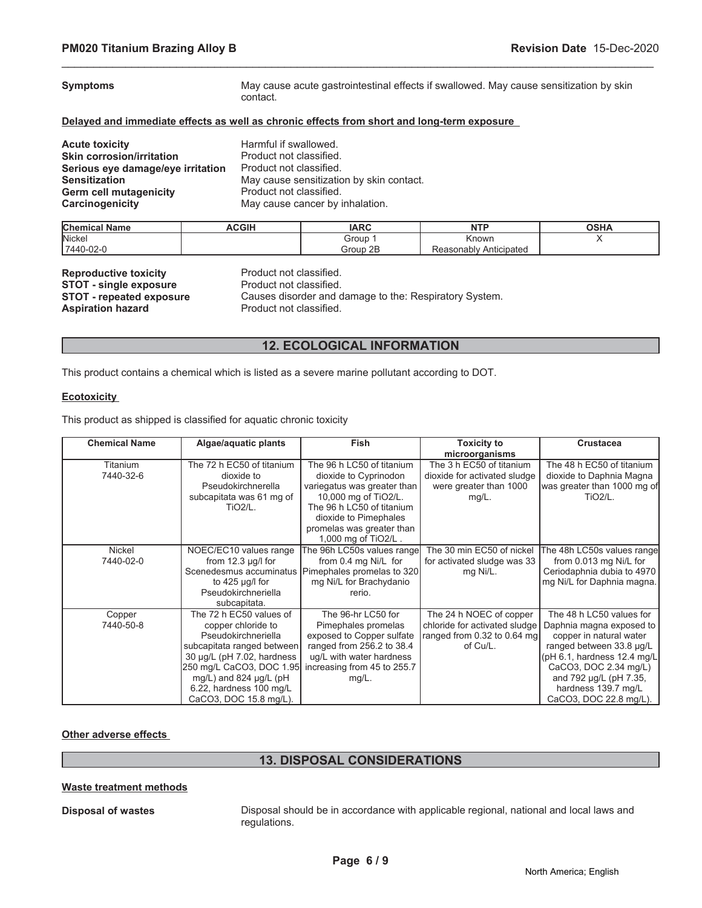| <b>Symptoms</b>                   | May cause acute gastrointestinal effects if swallowed. May cause sensitization by skin<br>contact. |
|-----------------------------------|----------------------------------------------------------------------------------------------------|
|                                   | Delayed and immediate effects as well as chronic effects from short and long-term exposure         |
| <b>Acute toxicity</b>             | Harmful if swallowed.                                                                              |
| <b>Skin corrosion/irritation</b>  | Product not classified.                                                                            |
| Serious eye damage/eye irritation | Product not classified.                                                                            |
| <b>Sensitization</b>              | May cause sensitization by skin contact.                                                           |
| <b>Germ cell mutagenicity</b>     | Product not classified.                                                                            |
| Carcinogenicity                   | May cause cancer by inhalation.                                                                    |

\_\_\_\_\_\_\_\_\_\_\_\_\_\_\_\_\_\_\_\_\_\_\_\_\_\_\_\_\_\_\_\_\_\_\_\_\_\_\_\_\_\_\_\_\_\_\_\_\_\_\_\_\_\_\_\_\_\_\_\_\_\_\_\_\_\_\_\_\_\_\_\_\_\_\_\_\_\_\_\_\_\_\_\_\_\_\_\_\_\_\_\_\_

| <b>Chemical</b><br><b>Name</b> | <b>ACGIH</b> | <b>IARC</b> | NTC                       | ດຊ⊔∧<br>שטט |
|--------------------------------|--------------|-------------|---------------------------|-------------|
| Nickel                         |              | Group       | Known                     |             |
| 7440-02-0                      |              | 2E<br>Group | Anticipated<br>Reasonablv |             |

| <b>Reproductive toxicity</b>    |
|---------------------------------|
| <b>STOT - single exposure</b>   |
| <b>STOT - repeated exposure</b> |
| <b>Aspiration hazard</b>        |

**Product not classified. Product not classified.** Causes disorder and damage to the: Respiratory System. Product not classified.

# **12. ECOLOGICAL INFORMATION**

This product contains a chemical which is listed as a severe marine pollutant according to DOT.

### **Ecotoxicity**

This product as shipped is classified for aquatic chronic toxicity

| <b>Chemical Name</b> | Algae/aquatic plants        | Fish                                               | <b>Toxicity to</b>            | <b>Crustacea</b>                |
|----------------------|-----------------------------|----------------------------------------------------|-------------------------------|---------------------------------|
|                      |                             |                                                    | microorganisms                |                                 |
| Titanium             | The 72 h EC50 of titanium   | The 96 h LC50 of titanium                          | The 3 h EC50 of titanium      | The 48 h EC50 of titanium       |
| 7440-32-6            | dioxide to                  | dioxide to Cyprinodon                              | dioxide for activated sludge  | dioxide to Daphnia Magna        |
|                      | Pseudokirchnerella          | variegatus was greater than                        | were greater than 1000        | was greater than 1000 mg of     |
|                      | subcapitata was 61 mg of    | 10,000 mg of TiO2/L.                               | $mg/L$ .                      | <b>TiO2/L.</b>                  |
|                      | $TiO2/L$ .                  | The 96 h LC50 of titanium                          |                               |                                 |
|                      |                             | dioxide to Pimephales                              |                               |                                 |
|                      |                             | promelas was greater than                          |                               |                                 |
|                      |                             | 1,000 mg of TiO2/L.                                |                               |                                 |
| Nickel               | NOEC/EC10 values range      | The 96h LC50s values range                         | The 30 min EC50 of nickel     | The 48h LC50s values range      |
| 7440-02-0            | from $12.3 \mu q/l$ for     | from 0.4 mg Ni/L for                               | for activated sludge was 33   | from 0.013 mg Ni/L for          |
|                      |                             | Scenedesmus accuminatus Pimephales promelas to 320 | mg Ni/L.                      | Ceriodaphnia dubia to 4970      |
|                      | to $425 \mu q/l$ for        | mg Ni/L for Brachydanio                            |                               | mg Ni/L for Daphnia magna.      |
|                      | Pseudokirchneriella         | rerio.                                             |                               |                                 |
|                      | subcapitata.                |                                                    |                               |                                 |
| Copper               | The 72 h EC50 values of     | The 96-hr LC50 for                                 | The 24 h NOEC of copper       | The 48 h LC50 values for        |
| 7440-50-8            | copper chloride to          | Pimephales promelas                                | chloride for activated sludge | Daphnia magna exposed to        |
|                      | Pseudokirchneriella         | exposed to Copper sulfate                          | ranged from 0.32 to 0.64 mg   | copper in natural water         |
|                      | subcapitata ranged between  | ranged from 256.2 to 38.4                          | of Cu/L.                      | ranged between 33.8 µg/L        |
|                      | 30 µg/L (pH 7.02, hardness  | ug/L with water hardness                           |                               | ( $pH$ 6.1, hardness 12.4 mg/L) |
|                      | 250 mg/L CaCO3, DOC 1.95    | increasing from 45 to 255.7                        |                               | CaCO3, DOC 2.34 mg/L)           |
|                      | mg/L) and 824 $\mu$ g/L (pH | $mg/L$ .                                           |                               | and 792 µg/L (pH 7.35,          |
|                      | 6.22, hardness 100 mg/L     |                                                    |                               | hardness 139.7 mg/L             |
|                      | CaCO3, DOC 15.8 mg/L).      |                                                    |                               | CaCO3, DOC 22.8 mg/L).          |

### **Other adverse effects**

# **13. DISPOSAL CONSIDERATIONS**

### **Waste treatment methods**

**Disposal of wastes** Disposal should be in accordance with applicable regional, national and local laws and regulations.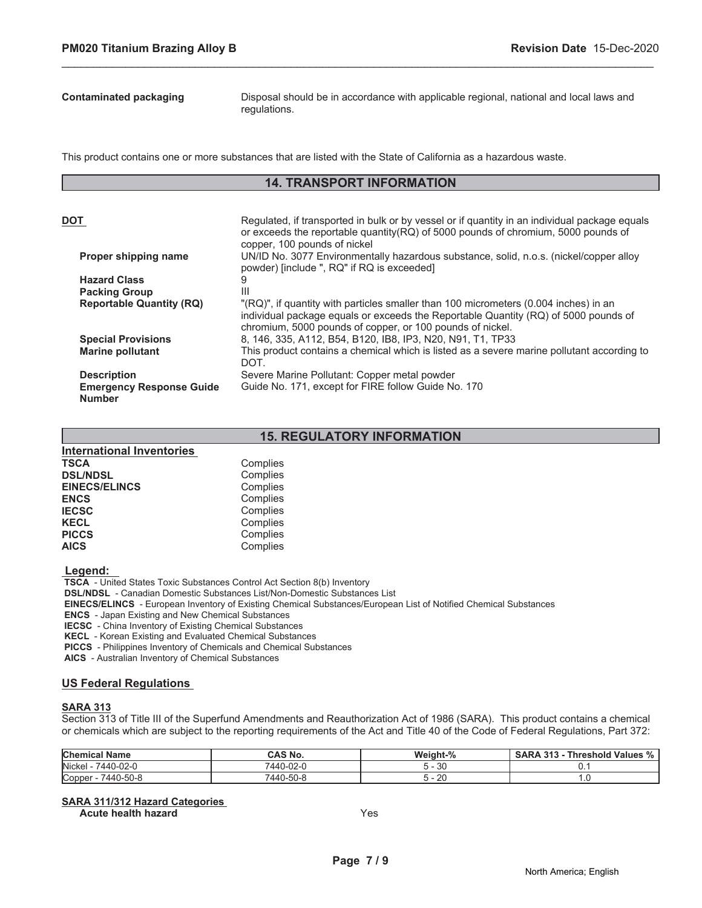**Contaminated packaging** Disposal should be in accordance with applicable regional, national and local laws and regulations.

This product contains one or more substances that are listed with the State of California as a hazardous waste.

# **14. TRANSPORT INFORMATION**

\_\_\_\_\_\_\_\_\_\_\_\_\_\_\_\_\_\_\_\_\_\_\_\_\_\_\_\_\_\_\_\_\_\_\_\_\_\_\_\_\_\_\_\_\_\_\_\_\_\_\_\_\_\_\_\_\_\_\_\_\_\_\_\_\_\_\_\_\_\_\_\_\_\_\_\_\_\_\_\_\_\_\_\_\_\_\_\_\_\_\_\_\_

| DOT                             | Regulated, if transported in bulk or by vessel or if quantity in an individual package equals<br>or exceeds the reportable quantity (RQ) of 5000 pounds of chromium, 5000 pounds of<br>copper, 100 pounds of nickel                      |
|---------------------------------|------------------------------------------------------------------------------------------------------------------------------------------------------------------------------------------------------------------------------------------|
| Proper shipping name            | UN/ID No. 3077 Environmentally hazardous substance, solid, n.o.s. (nickel/copper alloy<br>powder) [include ", RQ" if RQ is exceeded]                                                                                                     |
| <b>Hazard Class</b>             |                                                                                                                                                                                                                                          |
| <b>Packing Group</b>            | Ш                                                                                                                                                                                                                                        |
| <b>Reportable Quantity (RQ)</b> | "(RQ)", if quantity with particles smaller than 100 micrometers (0.004 inches) in an<br>individual package equals or exceeds the Reportable Quantity (RQ) of 5000 pounds of<br>chromium, 5000 pounds of copper, or 100 pounds of nickel. |
| <b>Special Provisions</b>       | 8, 146, 335, A112, B54, B120, IB8, IP3, N20, N91, T1, TP33                                                                                                                                                                               |
| <b>Marine pollutant</b>         | This product contains a chemical which is listed as a severe marine pollutant according to<br>DOT.                                                                                                                                       |
| <b>Description</b>              | Severe Marine Pollutant: Copper metal powder                                                                                                                                                                                             |
| <b>Emergency Response Guide</b> | Guide No. 171, except for FIRE follow Guide No. 170                                                                                                                                                                                      |
| <b>Number</b>                   |                                                                                                                                                                                                                                          |

# **15. REGULATORY INFORMATION**

| <b>International Inventories</b> |          |
|----------------------------------|----------|
| TSCA                             | Complies |
| <b>DSL/NDSL</b>                  | Complies |
| <b>EINECS/ELINCS</b>             | Complies |
| <b>ENCS</b>                      | Complies |
| <b>IECSC</b>                     | Complies |
| <b>KECL</b>                      | Complies |
| <b>PICCS</b>                     | Complies |
| <b>AICS</b>                      | Complies |

 **Legend:** 

 **TSCA** - United States Toxic Substances Control Act Section 8(b) Inventory

 **DSL/NDSL** - Canadian Domestic Substances List/Non-Domestic Substances List

 **EINECS/ELINCS** - European Inventory of Existing Chemical Substances/European List of Notified Chemical Substances

 **ENCS** - Japan Existing and New Chemical Substances

 **IECSC** - China Inventory of Existing Chemical Substances

 **KECL** - Korean Existing and Evaluated Chemical Substances

 **PICCS** - Philippines Inventory of Chemicals and Chemical Substances

 **AICS** - Australian Inventory of Chemical Substances

### **US Federal Regulations**

### **SARA 313**

Section 313 of Title III of the Superfund Amendments and Reauthorization Act of 1986 (SARA). This product contains a chemical or chemicals which are subject to the reporting requirements of the Act and Title 40 of the Code of Federal Regulations, Part 372:

| <b>Chemical Name</b> | CAS No.   | Weight-% | $\Omega$<br><b>Threshold Values</b><br><b>SARA 313</b><br>$\frac{7}{0}$ |
|----------------------|-----------|----------|-------------------------------------------------------------------------|
| Nickel<br>7440-02-0  | 7440-02-0 | 30       |                                                                         |
| Copper<br>7440-50-8  | 7440-50-8 | 20       | . ب                                                                     |

### **SARA 311/312 Hazard Categories**

**Acute health hazard** Yes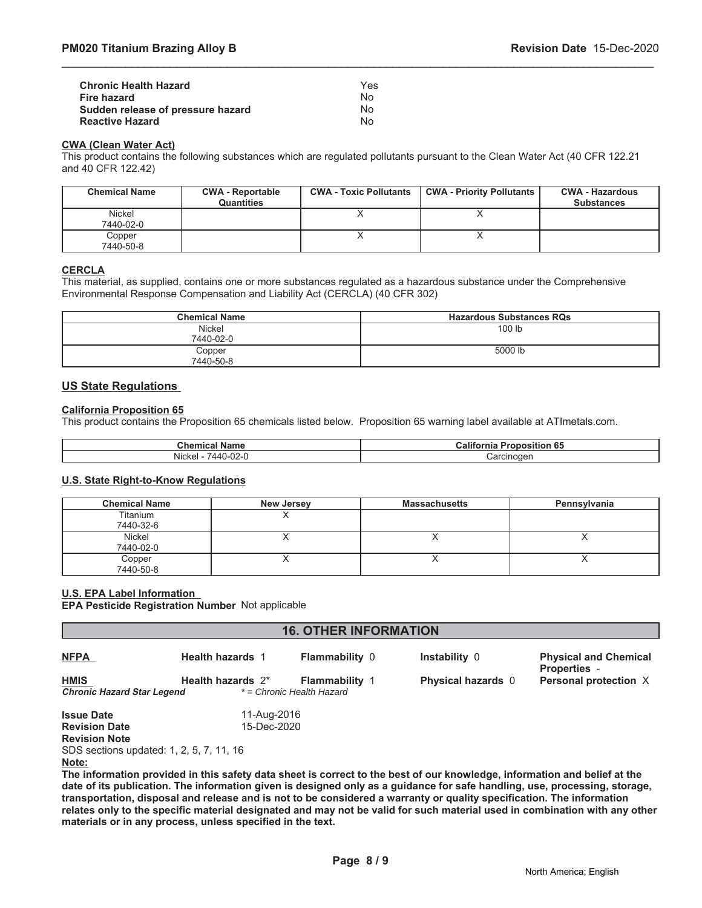| <b>Chronic Health Hazard</b>      | Yes |
|-----------------------------------|-----|
| Fire hazard                       | N٥  |
| Sudden release of pressure hazard | N٥  |
| <b>Reactive Hazard</b>            | N٥  |

### **CWA (Clean Water Act)**

This product contains the following substances which are regulated pollutants pursuant to the Clean Water Act (40 CFR 122.21 and 40 CFR 122.42)

\_\_\_\_\_\_\_\_\_\_\_\_\_\_\_\_\_\_\_\_\_\_\_\_\_\_\_\_\_\_\_\_\_\_\_\_\_\_\_\_\_\_\_\_\_\_\_\_\_\_\_\_\_\_\_\_\_\_\_\_\_\_\_\_\_\_\_\_\_\_\_\_\_\_\_\_\_\_\_\_\_\_\_\_\_\_\_\_\_\_\_\_\_

| <b>Chemical Name</b> | <b>CWA - Reportable</b><br><b>Quantities</b> | <b>CWA - Toxic Pollutants</b> | <b>CWA - Priority Pollutants</b> | <b>CWA - Hazardous</b><br><b>Substances</b> |
|----------------------|----------------------------------------------|-------------------------------|----------------------------------|---------------------------------------------|
| Nickel<br>7440-02-0  |                                              |                               |                                  |                                             |
| Copper<br>7440-50-8  |                                              |                               |                                  |                                             |

### **CERCLA**

This material, as supplied, contains one or more substances regulated as a hazardous substance under the Comprehensive Environmental Response Compensation and Liability Act (CERCLA) (40 CFR 302)

| <b>Chemical Name</b> | <b>Hazardous Substances RQs</b> |
|----------------------|---------------------------------|
| Nickel<br>7440-02-0  | 100 lb                          |
| Copper<br>7440-50-8  | 5000 lb                         |

# **US State Regulations**

### **California Proposition 65**

This product contains the Proposition 65 chemicals listed below. Proposition 65 warning label available at ATImetals.com.

| Chemical<br>⊡ Name                                                     | <b>Califor</b><br>. er<br>.<br>о,<br>ositior<br>'onr<br>၊ ၀၁<br>THE |
|------------------------------------------------------------------------|---------------------------------------------------------------------|
| $\sim$<br>.<br>.44 <sup>c</sup><br><b>Nickel</b><br>∵ ۱- ∠∪<br>- T 1.J | Carcinoger                                                          |

### **U.S. State Right-to-Know Regulations**

| <b>Chemical Name</b>  | <b>New Jersey</b> | <b>Massachusetts</b> | Pennsylvania |
|-----------------------|-------------------|----------------------|--------------|
| Titanium<br>7440-32-6 |                   |                      |              |
| Nickel<br>7440-02-0   |                   |                      |              |
| Copper<br>7440-50-8   |                   |                      |              |

### **U.S. EPA Label Information**

**EPA Pesticide Registration Number** Not applicable

| <b>16. OTHER INFORMATION</b>                                      |                         |                                                    |                           |                                                     |
|-------------------------------------------------------------------|-------------------------|----------------------------------------------------|---------------------------|-----------------------------------------------------|
| <b>NFPA</b>                                                       | <b>Health hazards 1</b> | <b>Flammability 0</b>                              | <b>Instability 0</b>      | <b>Physical and Chemical</b><br><b>Properties -</b> |
| <b>HMIS</b><br><b>Chronic Hazard Star Legend</b>                  | Health hazards $2^*$    | <b>Flammability 1</b><br>* = Chronic Health Hazard | <b>Physical hazards 0</b> | Personal protection X                               |
| <b>Issue Date</b>                                                 | 11-Aug-2016             |                                                    |                           |                                                     |
| <b>Revision Date</b>                                              | 15-Dec-2020             |                                                    |                           |                                                     |
| <b>Revision Note</b>                                              |                         |                                                    |                           |                                                     |
| SDS sections updated: 1, 2, 5, 7, 11, 16<br><b>Billian Common</b> |                         |                                                    |                           |                                                     |

**Note:**

**The information provided in this safety data sheet is correct to the best of our knowledge, information and belief at the date of its publication. The information given is designed only as a guidance for safe handling, use, processing, storage, transportation, disposal and release and is not to be considered a warranty or quality specification. The information relates only to the specific material designated and may not be valid for such material used in combination with any other materials or in any process, unless specified in the text.**